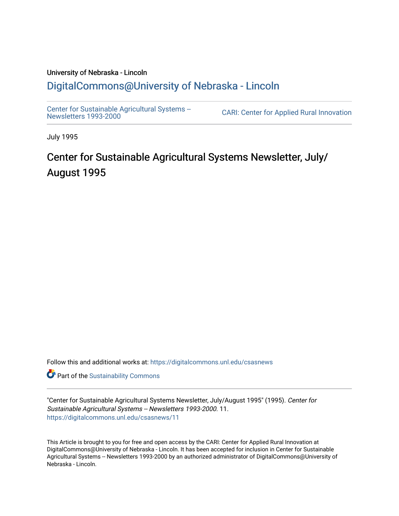# University of Nebraska - Lincoln [DigitalCommons@University of Nebraska - Lincoln](https://digitalcommons.unl.edu/)

[Center for Sustainable Agricultural Systems --](https://digitalcommons.unl.edu/csasnews)<br>Newsletters 1993-2000

CARI: Center for Applied Rural Innovation

July 1995

# Center for Sustainable Agricultural Systems Newsletter, July/ August 1995

Follow this and additional works at: [https://digitalcommons.unl.edu/csasnews](https://digitalcommons.unl.edu/csasnews?utm_source=digitalcommons.unl.edu%2Fcsasnews%2F11&utm_medium=PDF&utm_campaign=PDFCoverPages) 

**Part of the [Sustainability Commons](http://network.bepress.com/hgg/discipline/1031?utm_source=digitalcommons.unl.edu%2Fcsasnews%2F11&utm_medium=PDF&utm_campaign=PDFCoverPages)** 

"Center for Sustainable Agricultural Systems Newsletter, July/August 1995" (1995). Center for Sustainable Agricultural Systems -- Newsletters 1993-2000. 11. [https://digitalcommons.unl.edu/csasnews/11](https://digitalcommons.unl.edu/csasnews/11?utm_source=digitalcommons.unl.edu%2Fcsasnews%2F11&utm_medium=PDF&utm_campaign=PDFCoverPages) 

This Article is brought to you for free and open access by the CARI: Center for Applied Rural Innovation at DigitalCommons@University of Nebraska - Lincoln. It has been accepted for inclusion in Center for Sustainable Agricultural Systems -- Newsletters 1993-2000 by an authorized administrator of DigitalCommons@University of Nebraska - Lincoln.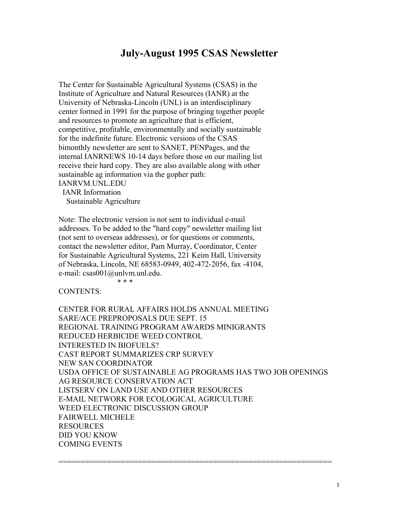## **July-August 1995 CSAS Newsletter**

The Center for Sustainable Agricultural Systems (CSAS) in the Institute of Agriculture and Natural Resources (IANR) at the University of Nebraska-Lincoln (UNL) is an interdisciplinary center formed in 1991 for the purpose of bringing together people and resources to promote an agriculture that is efficient, competitive, profitable, environmentally and socially sustainable for the indefinite future. Electronic versions of the CSAS bimonthly newsletter are sent to SANET, PENPages, and the internal IANRNEWS 10-14 days before those on our mailing list receive their hard copy. They are also available along with other sustainable ag information via the gopher path: IANRVM.UNL.EDU

 IANR Information Sustainable Agriculture

Note: The electronic version is not sent to individual e-mail addresses. To be added to the "hard copy" newsletter mailing list (not sent to overseas addresses), or for questions or comments, contact the newsletter editor, Pam Murray, Coordinator, Center for Sustainable Agricultural Systems, 221 Keim Hall, University of Nebraska, Lincoln, NE 68583-0949, 402-472-2056, fax -4104, e-mail: csas001@unlvm.unl.edu.

CONTENTS:

 $* * *$ 

CENTER FOR RURAL AFFAIRS HOLDS ANNUAL MEETING SARE/ACE PREPROPOSALS DUE SEPT. 15 REGIONAL TRAINING PROGRAM AWARDS MINIGRANTS REDUCED HERBICIDE WEED CONTROL INTERESTED IN BIOFUELS? CAST REPORT SUMMARIZES CRP SURVEY NEW SAN COORDINATOR USDA OFFICE OF SUSTAINABLE AG PROGRAMS HAS TWO JOB OPENINGS AG RESOURCE CONSERVATION ACT LISTSERV ON LAND USE AND OTHER RESOURCES E-MAIL NETWORK FOR ECOLOGICAL AGRICULTURE WEED ELECTRONIC DISCUSSION GROUP FAIRWELL MICHELE RESOURCES DID YOU KNOW COMING EVENTS

==============================================================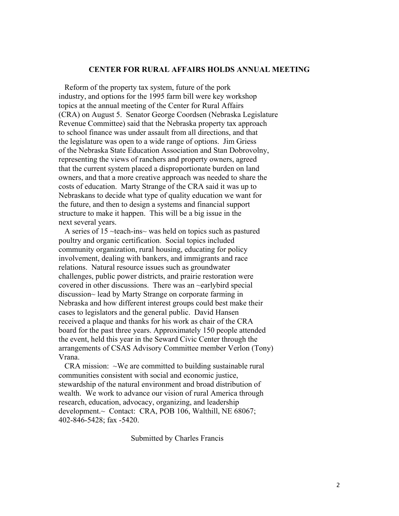#### **CENTER FOR RURAL AFFAIRS HOLDS ANNUAL MEETING**

 Reform of the property tax system, future of the pork industry, and options for the 1995 farm bill were key workshop topics at the annual meeting of the Center for Rural Affairs (CRA) on August 5. Senator George Coordsen (Nebraska Legislature Revenue Committee) said that the Nebraska property tax approach to school finance was under assault from all directions, and that the legislature was open to a wide range of options. Jim Griess of the Nebraska State Education Association and Stan Dobrovolny, representing the views of ranchers and property owners, agreed that the current system placed a disproportionate burden on land owners, and that a more creative approach was needed to share the costs of education. Marty Strange of the CRA said it was up to Nebraskans to decide what type of quality education we want for the future, and then to design a systems and financial support structure to make it happen. This will be a big issue in the next several years.

 A series of 15 ~teach-ins~ was held on topics such as pastured poultry and organic certification. Social topics included community organization, rural housing, educating for policy involvement, dealing with bankers, and immigrants and race relations. Natural resource issues such as groundwater challenges, public power districts, and prairie restoration were covered in other discussions. There was an ~earlybird special discussion~ lead by Marty Strange on corporate farming in Nebraska and how different interest groups could best make their cases to legislators and the general public. David Hansen received a plaque and thanks for his work as chair of the CRA board for the past three years. Approximately 150 people attended the event, held this year in the Seward Civic Center through the arrangements of CSAS Advisory Committee member Verlon (Tony) Vrana.

CRA mission:  $\sim$ We are committed to building sustainable rural communities consistent with social and economic justice, stewardship of the natural environment and broad distribution of wealth. We work to advance our vision of rural America through research, education, advocacy, organizing, and leadership development.~ Contact: CRA, POB 106, Walthill, NE 68067; 402-846-5428; fax -5420.

Submitted by Charles Francis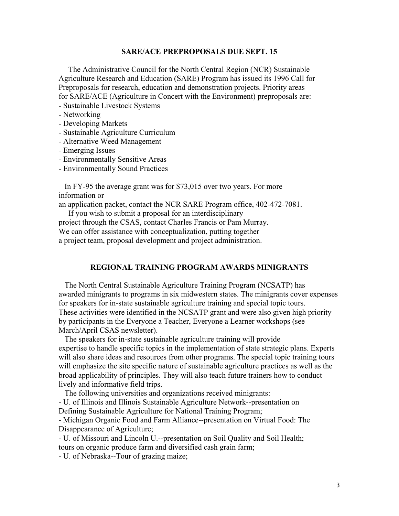#### **SARE/ACE PREPROPOSALS DUE SEPT. 15**

 The Administrative Council for the North Central Region (NCR) Sustainable Agriculture Research and Education (SARE) Program has issued its 1996 Call for Preproposals for research, education and demonstration projects. Priority areas for SARE/ACE (Agriculture in Concert with the Environment) preproposals are:

- Sustainable Livestock Systems
- Networking
- Developing Markets
- Sustainable Agriculture Curriculum
- Alternative Weed Management
- Emerging Issues
- Environmentally Sensitive Areas
- Environmentally Sound Practices

 In FY-95 the average grant was for \$73,015 over two years. For more information or

an application packet, contact the NCR SARE Program office, 402-472-7081.

 If you wish to submit a proposal for an interdisciplinary project through the CSAS, contact Charles Francis or Pam Murray. We can offer assistance with conceptualization, putting together a project team, proposal development and project administration.

#### **REGIONAL TRAINING PROGRAM AWARDS MINIGRANTS**

 The North Central Sustainable Agriculture Training Program (NCSATP) has awarded minigrants to programs in six midwestern states. The minigrants cover expenses for speakers for in-state sustainable agriculture training and special topic tours. These activities were identified in the NCSATP grant and were also given high priority by participants in the Everyone a Teacher, Everyone a Learner workshops (see March/April CSAS newsletter).

 The speakers for in-state sustainable agriculture training will provide expertise to handle specific topics in the implementation of state strategic plans. Experts will also share ideas and resources from other programs. The special topic training tours will emphasize the site specific nature of sustainable agriculture practices as well as the broad applicability of principles. They will also teach future trainers how to conduct lively and informative field trips.

The following universities and organizations received minigrants:

- U. of Illinois and Illinois Sustainable Agriculture Network--presentation on Defining Sustainable Agriculture for National Training Program;

- Michigan Organic Food and Farm Alliance--presentation on Virtual Food: The Disappearance of Agriculture;

- U. of Missouri and Lincoln U.--presentation on Soil Quality and Soil Health; tours on organic produce farm and diversified cash grain farm;

- U. of Nebraska--Tour of grazing maize;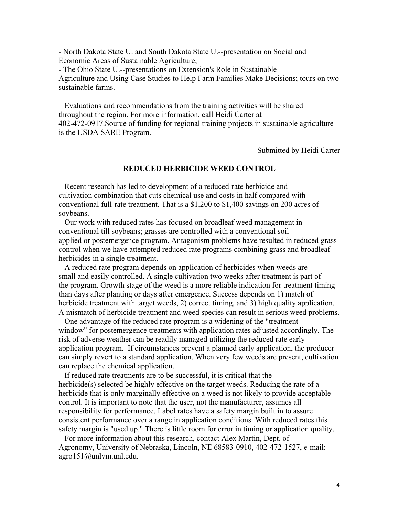- North Dakota State U. and South Dakota State U.--presentation on Social and Economic Areas of Sustainable Agriculture;

- The Ohio State U.--presentations on Extension's Role in Sustainable Agriculture and Using Case Studies to Help Farm Families Make Decisions; tours on two sustainable farms.

 Evaluations and recommendations from the training activities will be shared throughout the region. For more information, call Heidi Carter at 402-472-0917.Source of funding for regional training projects in sustainable agriculture is the USDA SARE Program.

Submitted by Heidi Carter

## **REDUCED HERBICIDE WEED CONTROL**

 Recent research has led to development of a reduced-rate herbicide and cultivation combination that cuts chemical use and costs in half compared with conventional full-rate treatment. That is a \$1,200 to \$1,400 savings on 200 acres of soybeans.

 Our work with reduced rates has focused on broadleaf weed management in conventional till soybeans; grasses are controlled with a conventional soil applied or postemergence program. Antagonism problems have resulted in reduced grass control when we have attempted reduced rate programs combining grass and broadleaf herbicides in a single treatment.

 A reduced rate program depends on application of herbicides when weeds are small and easily controlled. A single cultivation two weeks after treatment is part of the program. Growth stage of the weed is a more reliable indication for treatment timing than days after planting or days after emergence. Success depends on 1) match of herbicide treatment with target weeds, 2) correct timing, and 3) high quality application. A mismatch of herbicide treatment and weed species can result in serious weed problems.

 One advantage of the reduced rate program is a widening of the "treatment window" for postemergence treatments with application rates adjusted accordingly. The risk of adverse weather can be readily managed utilizing the reduced rate early application program. If circumstances prevent a planned early application, the producer can simply revert to a standard application. When very few weeds are present, cultivation can replace the chemical application.

 If reduced rate treatments are to be successful, it is critical that the herbicide(s) selected be highly effective on the target weeds. Reducing the rate of a herbicide that is only marginally effective on a weed is not likely to provide acceptable control. It is important to note that the user, not the manufacturer, assumes all responsibility for performance. Label rates have a safety margin built in to assure consistent performance over a range in application conditions. With reduced rates this safety margin is "used up." There is little room for error in timing or application quality.

 For more information about this research, contact Alex Martin, Dept. of Agronomy, University of Nebraska, Lincoln, NE 68583-0910, 402-472-1527, e-mail: agro151@unlvm.unl.edu.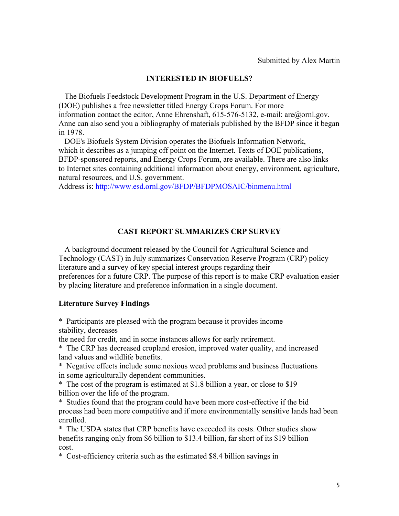## **INTERESTED IN BIOFUELS?**

 The Biofuels Feedstock Development Program in the U.S. Department of Energy (DOE) publishes a free newsletter titled Energy Crops Forum. For more information contact the editor, Anne Ehrenshaft, 615-576-5132, e-mail: are@ornl.gov. Anne can also send you a bibliography of materials published by the BFDP since it began in 1978.

 DOE's Biofuels System Division operates the Biofuels Information Network, which it describes as a jumping off point on the Internet. Texts of DOE publications, BFDP-sponsored reports, and Energy Crops Forum, are available. There are also links to Internet sites containing additional information about energy, environment, agriculture, natural resources, and U.S. government.

Address is: http://www.esd.ornl.gov/BFDP/BFDPMOSAIC/binmenu.html

## **CAST REPORT SUMMARIZES CRP SURVEY**

 A background document released by the Council for Agricultural Science and Technology (CAST) in July summarizes Conservation Reserve Program (CRP) policy literature and a survey of key special interest groups regarding their preferences for a future CRP. The purpose of this report is to make CRP evaluation easier by placing literature and preference information in a single document.

## **Literature Survey Findings**

\* Participants are pleased with the program because it provides income stability, decreases

the need for credit, and in some instances allows for early retirement.

\* The CRP has decreased cropland erosion, improved water quality, and increased land values and wildlife benefits.

\* Negative effects include some noxious weed problems and business fluctuations in some agriculturally dependent communities.

\* The cost of the program is estimated at \$1.8 billion a year, or close to \$19 billion over the life of the program.

\* Studies found that the program could have been more cost-effective if the bid process had been more competitive and if more environmentally sensitive lands had been enrolled.

\* The USDA states that CRP benefits have exceeded its costs. Other studies show benefits ranging only from \$6 billion to \$13.4 billion, far short of its \$19 billion cost.

\* Cost-efficiency criteria such as the estimated \$8.4 billion savings in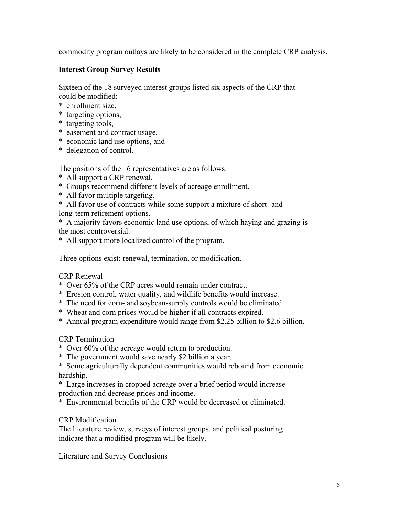commodity program outlays are likely to be considered in the complete CRP analysis.

## **Interest Group Survey Results**

Sixteen of the 18 surveyed interest groups listed six aspects of the CRP that could be modified:

- \* enrollment size,
- \* targeting options,
- \* targeting tools,
- \* easement and contract usage,
- \* economic land use options, and
- \* delegation of control.

The positions of the 16 representatives are as follows:

- \* All support a CRP renewal.
- \* Groups recommend different levels of acreage enrollment.
- \* All favor multiple targeting.
- \* All favor use of contracts while some support a mixture of short- and
- long-term retirement options.

\* A majority favors economic land use options, of which haying and grazing is the most controversial.

\* All support more localized control of the program.

Three options exist: renewal, termination, or modification.

## CRP Renewal

- \* Over 65% of the CRP acres would remain under contract.
- \* Erosion control, water quality, and wildlife benefits would increase.
- \* The need for corn- and soybean-supply controls would be eliminated.
- \* Wheat and corn prices would be higher if all contracts expired.
- \* Annual program expenditure would range from \$2.25 billion to \$2.6 billion.

## CRP Termination

- \* Over 60% of the acreage would return to production.
- \* The government would save nearly \$2 billion a year.
- \* Some agriculturally dependent communities would rebound from economic hardship.
- \* Large increases in cropped acreage over a brief period would increase production and decrease prices and income.
- \* Environmental benefits of the CRP would be decreased or eliminated.

## CRP Modification

The literature review, surveys of interest groups, and political posturing indicate that a modified program will be likely.

Literature and Survey Conclusions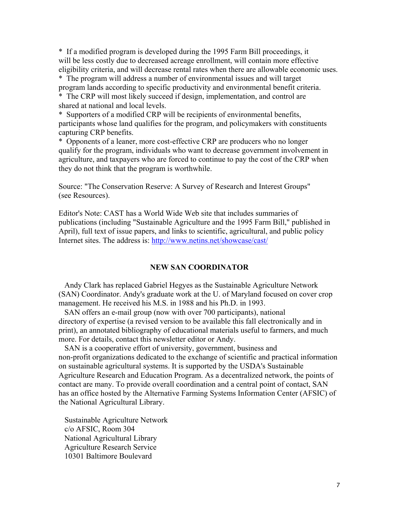\* If a modified program is developed during the 1995 Farm Bill proceedings, it will be less costly due to decreased acreage enrollment, will contain more effective eligibility criteria, and will decrease rental rates when there are allowable economic uses.

\* The program will address a number of environmental issues and will target program lands according to specific productivity and environmental benefit criteria. \* The CRP will most likely succeed if design, implementation, and control are shared at national and local levels.

\* Supporters of a modified CRP will be recipients of environmental benefits, participants whose land qualifies for the program, and policymakers with constituents capturing CRP benefits.

\* Opponents of a leaner, more cost-effective CRP are producers who no longer qualify for the program, individuals who want to decrease government involvement in agriculture, and taxpayers who are forced to continue to pay the cost of the CRP when they do not think that the program is worthwhile.

Source: "The Conservation Reserve: A Survey of Research and Interest Groups" (see Resources).

Editor's Note: CAST has a World Wide Web site that includes summaries of publications (including "Sustainable Agriculture and the 1995 Farm Bill," published in April), full text of issue papers, and links to scientific, agricultural, and public policy Internet sites. The address is: http://www.netins.net/showcase/cast/

#### **NEW SAN COORDINATOR**

 Andy Clark has replaced Gabriel Hegyes as the Sustainable Agriculture Network (SAN) Coordinator. Andy's graduate work at the U. of Maryland focused on cover crop management. He received his M.S. in 1988 and his Ph.D. in 1993.

 SAN offers an e-mail group (now with over 700 participants), national directory of expertise (a revised version to be available this fall electronically and in print), an annotated bibliography of educational materials useful to farmers, and much more. For details, contact this newsletter editor or Andy.

 SAN is a cooperative effort of university, government, business and non-profit organizations dedicated to the exchange of scientific and practical information on sustainable agricultural systems. It is supported by the USDA's Sustainable Agriculture Research and Education Program. As a decentralized network, the points of contact are many. To provide overall coordination and a central point of contact, SAN has an office hosted by the Alternative Farming Systems Information Center (AFSIC) of the National Agricultural Library.

 Sustainable Agriculture Network c/o AFSIC, Room 304 National Agricultural Library Agriculture Research Service 10301 Baltimore Boulevard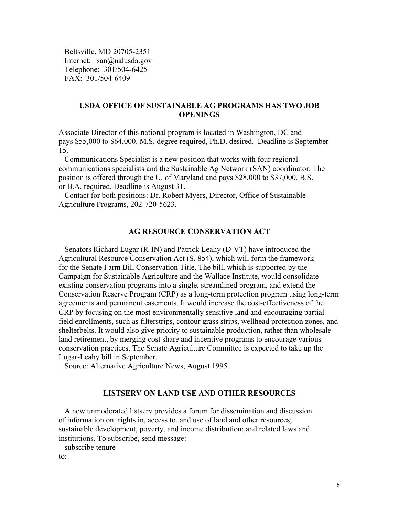Beltsville, MD 20705-2351 Internet: san@nalusda.gov Telephone: 301/504-6425 FAX: 301/504-6409

## **USDA OFFICE OF SUSTAINABLE AG PROGRAMS HAS TWO JOB OPENINGS**

Associate Director of this national program is located in Washington, DC and pays \$55,000 to \$64,000. M.S. degree required, Ph.D. desired. Deadline is September 15.

 Communications Specialist is a new position that works with four regional communications specialists and the Sustainable Ag Network (SAN) coordinator. The position is offered through the U. of Maryland and pays \$28,000 to \$37,000. B.S. or B.A. required. Deadline is August 31.

 Contact for both positions: Dr. Robert Myers, Director, Office of Sustainable Agriculture Programs, 202-720-5623.

## **AG RESOURCE CONSERVATION ACT**

 Senators Richard Lugar (R-IN) and Patrick Leahy (D-VT) have introduced the Agricultural Resource Conservation Act (S. 854), which will form the framework for the Senate Farm Bill Conservation Title. The bill, which is supported by the Campaign for Sustainable Agriculture and the Wallace Institute, would consolidate existing conservation programs into a single, streamlined program, and extend the Conservation Reserve Program (CRP) as a long-term protection program using long-term agreements and permanent easements. It would increase the cost-effectiveness of the CRP by focusing on the most environmentally sensitive land and encouraging partial field enrollments, such as filterstrips, contour grass strips, wellhead protection zones, and shelterbelts. It would also give priority to sustainable production, rather than wholesale land retirement, by merging cost share and incentive programs to encourage various conservation practices. The Senate Agriculture Committee is expected to take up the Lugar-Leahy bill in September.

Source: Alternative Agriculture News, August 1995.

#### **LISTSERV ON LAND USE AND OTHER RESOURCES**

 A new unmoderated listserv provides a forum for dissemination and discussion of information on: rights in, access to, and use of land and other resources; sustainable development, poverty, and income distribution; and related laws and institutions. To subscribe, send message:

subscribe tenure

to: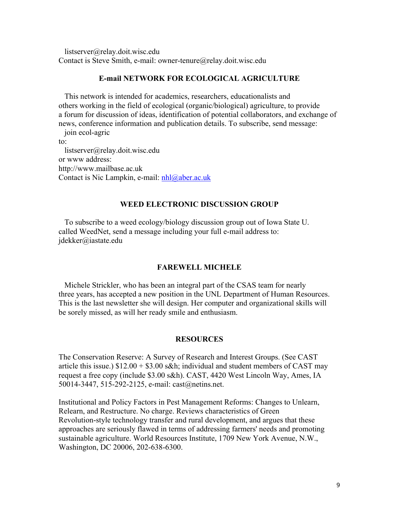listserver@relay.doit.wisc.edu Contact is Steve Smith, e-mail: owner-tenure@relay.doit.wisc.edu

#### **E-mail NETWORK FOR ECOLOGICAL AGRICULTURE**

 This network is intended for academics, researchers, educationalists and others working in the field of ecological (organic/biological) agriculture, to provide a forum for discussion of ideas, identification of potential collaborators, and exchange of news, conference information and publication details. To subscribe, send message: join ecol-agric

to:

 listserver@relay.doit.wisc.edu or www address: http://www.mailbase.ac.uk Contact is Nic Lampkin, e-mail: nhl@aber.ac.uk

## **WEED ELECTRONIC DISCUSSION GROUP**

 To subscribe to a weed ecology/biology discussion group out of Iowa State U. called WeedNet, send a message including your full e-mail address to: jdekker@iastate.edu

#### **FAREWELL MICHELE**

 Michele Strickler, who has been an integral part of the CSAS team for nearly three years, has accepted a new position in the UNL Department of Human Resources. This is the last newsletter she will design. Her computer and organizational skills will be sorely missed, as will her ready smile and enthusiasm.

#### **RESOURCES**

The Conservation Reserve: A Survey of Research and Interest Groups. (See CAST article this issue.)  $$12.00 + $3.00$  s&h; individual and student members of CAST may request a free copy (include \$3.00 s&h). CAST, 4420 West Lincoln Way, Ames, IA 50014-3447, 515-292-2125, e-mail: cast@netins.net.

Institutional and Policy Factors in Pest Management Reforms: Changes to Unlearn, Relearn, and Restructure. No charge. Reviews characteristics of Green Revolution-style technology transfer and rural development, and argues that these approaches are seriously flawed in terms of addressing farmers' needs and promoting sustainable agriculture. World Resources Institute, 1709 New York Avenue, N.W., Washington, DC 20006, 202-638-6300.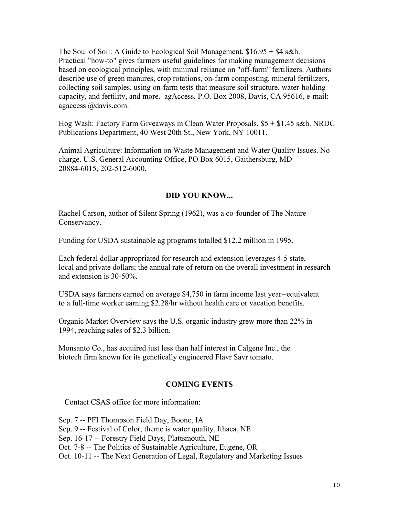The Soul of Soil: A Guide to Ecological Soil Management. \$16.95 + \$4 s&h. Practical "how-to" gives farmers useful guidelines for making management decisions based on ecological principles, with minimal reliance on "off-farm" fertilizers. Authors describe use of green manures, crop rotations, on-farm composting, mineral fertilizers, collecting soil samples, using on-farm tests that measure soil structure, water-holding capacity, and fertility, and more. agAccess, P.O. Box 2008, Davis, CA 95616, e-mail: agaccess @davis.com.

Hog Wash: Factory Farm Giveaways in Clean Water Proposals. \$5 + \$1.45 s&h. NRDC Publications Department, 40 West 20th St., New York, NY 10011.

Animal Agriculture: Information on Waste Management and Water Quality Issues. No charge. U.S. General Accounting Office, PO Box 6015, Gaithersburg, MD 20884-6015, 202-512-6000.

## **DID YOU KNOW...**

Rachel Carson, author of Silent Spring (1962), was a co-founder of The Nature Conservancy.

Funding for USDA sustainable ag programs totalled \$12.2 million in 1995.

Each federal dollar appropriated for research and extension leverages 4-5 state, local and private dollars; the annual rate of return on the overall investment in research and extension is 30-50%.

USDA says farmers earned on average \$4,750 in farm income last year--equivalent to a full-time worker earning \$2.28/hr without health care or vacation benefits.

Organic Market Overview says the U.S. organic industry grew more than 22% in 1994, reaching sales of \$2.3 billion.

Monsanto Co., has acquired just less than half interest in Calgene Inc., the biotech firm known for its genetically engineered Flavr Savr tomato.

#### **COMING EVENTS**

Contact CSAS office for more information:

Sep. 7 -- PFI Thompson Field Day, Boone, IA Sep. 9 -- Festival of Color, theme is water quality, Ithaca, NE Sep. 16-17 -- Forestry Field Days, Plattsmouth, NE Oct. 7-8 -- The Politics of Sustainable Agriculture, Eugene, OR Oct. 10-11 -- The Next Generation of Legal, Regulatory and Marketing Issues